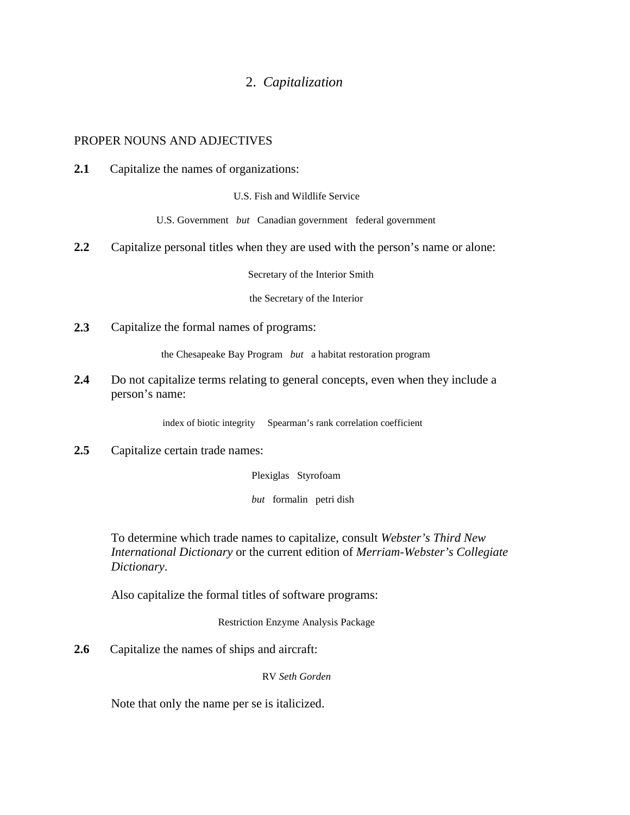## 2. *Capitalization*

## PROPER NOUNS AND ADJECTIVES

**2.1** Capitalize the names of organizations:

U.S. Fish and Wildlife Service

U.S. Government *but* Canadian government federal government

**2.2** Capitalize personal titles when they are used with the person's name or alone:

Secretary of the Interior Smith

the Secretary of the Interior

**2.3** Capitalize the formal names of programs:

the Chesapeake Bay Program *but* a habitat restoration program

**2.4** Do not capitalize terms relating to general concepts, even when they include a person's name:

index of biotic integrity Spearman's rank correlation coefficient

**2.5** Capitalize certain trade names:

Plexiglas Styrofoam

*but* formalin petri dish

To determine which trade names to capitalize, consult *Webster's Third New International Dictionary* or the current edition of *Merriam-Webster's Collegiate Dictionary*.

Also capitalize the formal titles of software programs:

Restriction Enzyme Analysis Package

**2.6** Capitalize the names of ships and aircraft:

RV *Seth Gorden*

Note that only the name per se is italicized.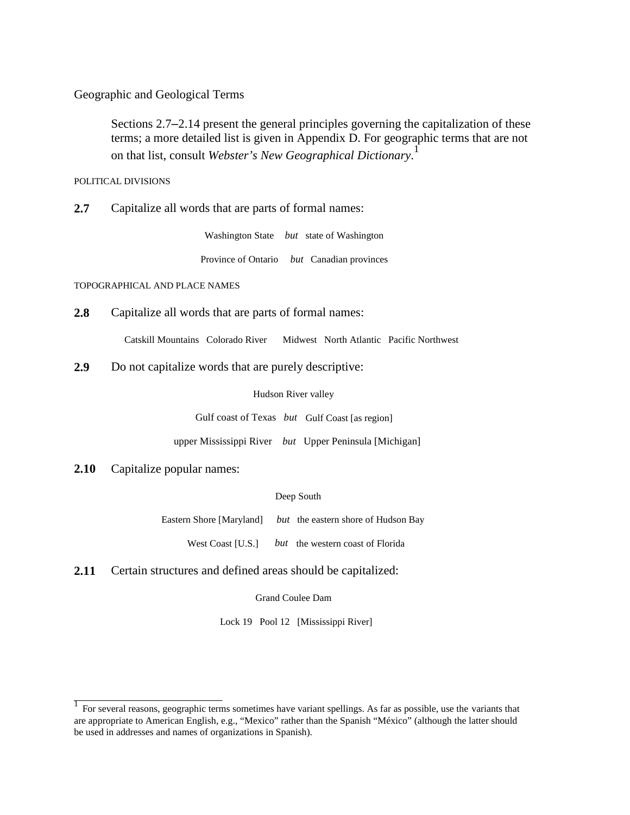Geographic and Geological Terms

Sections 2.7–2.14 present the general principles governing the capitalization of these terms; a more detailed list is given in Appendix D. For geographic terms that are not on that list, consult *Webster's New Geographical Dictionary*. 1

POLITICAL DIVISIONS

**2.7** Capitalize all words that are parts of formal names:

Washington State *but* state of Washington Province of Ontario *but* Canadian provinces

TOPOGRAPHICAL AND PLACE NAMES

**2.8** Capitalize all words that are parts of formal names:

Catskill Mountains Colorado River Midwest North Atlantic Pacific Northwest

**2.9** Do not capitalize words that are purely descriptive:

Hudson River valley

Gulf coast of Texas *but* Gulf Coast [as region]

upper Mississippi River *but* Upper Peninsula [Michigan]

**2.10** Capitalize popular names:

Deep South

Eastern Shore [Maryland] *but* the eastern shore of Hudson Bay

West Coast [U.S.] *but* the western coast of Florida

**2.11** Certain structures and defined areas should be capitalized:

Grand Coulee Dam

Lock 19 Pool 12 [Mississippi River]

<sup>&</sup>lt;sup>1</sup> For several reasons, geographic terms sometimes have variant spellings. As far as possible, use the variants that are appropriate to American English, e.g., "Mexico" rather than the Spanish "México" (although the latter should be used in addresses and names of organizations in Spanish).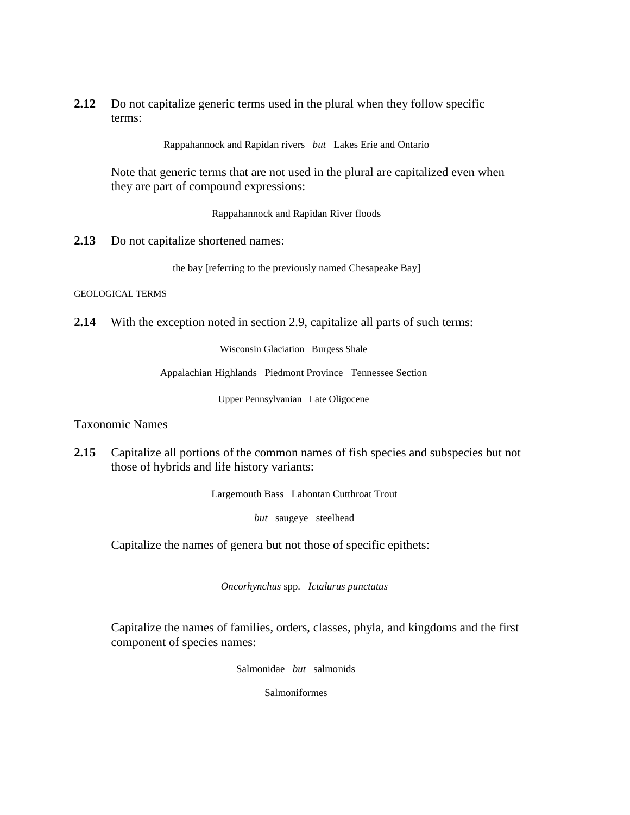**2.12** Do not capitalize generic terms used in the plural when they follow specific terms:

Rappahannock and Rapidan rivers *but* Lakes Erie and Ontario

Note that generic terms that are not used in the plural are capitalized even when they are part of compound expressions:

Rappahannock and Rapidan River floods

2.13 Do not capitalize shortened names:

the bay [referring to the previously named Chesapeake Bay]

GEOLOGICAL TERMS

**2.14** With the exception noted in section 2.9, capitalize all parts of such terms:

Wisconsin Glaciation Burgess Shale

Appalachian Highlands Piedmont Province Tennessee Section

Upper Pennsylvanian Late Oligocene

Taxonomic Names

**2.15** Capitalize all portions of the common names of fish species and subspecies but not those of hybrids and life history variants:

Largemouth Bass Lahontan Cutthroat Trout

*but* saugeye steelhead

Capitalize the names of genera but not those of specific epithets:

*Oncorhynchus* spp. *Ictalurus punctatus*

Capitalize the names of families, orders, classes, phyla, and kingdoms and the first component of species names:

Salmonidae *but* salmonids

Salmoniformes